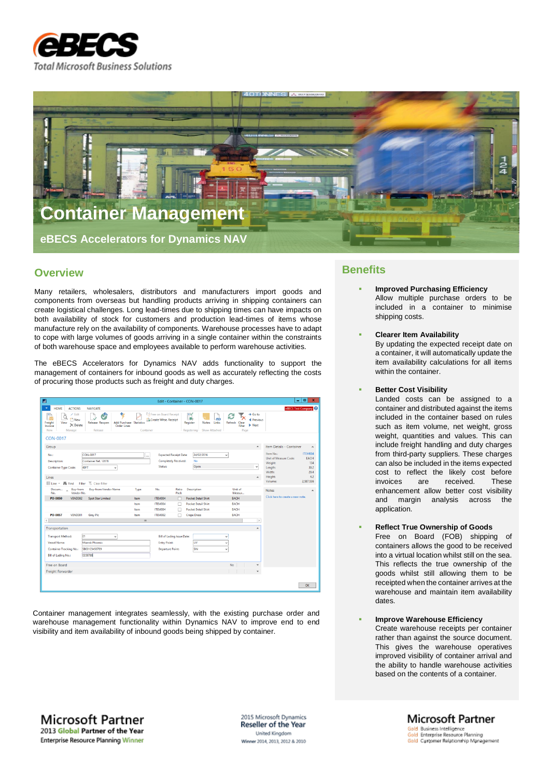



## **Overview**

Many retailers, wholesalers, distributors and manufacturers import goods and components from overseas but handling products arriving in shipping containers can create logistical challenges. Long lead-times due to shipping times can have impacts on both availability of stock for customers and production lead-times of items whose manufacture rely on the availability of components. Warehouse processes have to adapt to cope with large volumes of goods arriving in a single container within the constraints of both warehouse space and employees available to perform warehouse activities.

The eBECS Accelerators for Dynamics NAV adds functionality to support the management of containers for inbound goods as well as accurately reflecting the costs of procuring those products such as freight and duty charges.

| 岡                                                                                                                                                                              |            | Edit - Container - CON-0017                                             |               |                                               |                              |                                           |                                              | ۰                                                                  | 101<br>$\mathbf{x}$                   |
|--------------------------------------------------------------------------------------------------------------------------------------------------------------------------------|------------|-------------------------------------------------------------------------|---------------|-----------------------------------------------|------------------------------|-------------------------------------------|----------------------------------------------|--------------------------------------------------------------------|---------------------------------------|
| ٠<br><b>HOME</b><br><b>ACTIONS</b><br><b>NAVIGATE</b>                                                                                                                          |            |                                                                         |               |                                               |                              |                                           |                                              |                                                                    | eBECS Test Company                    |
| Ē<br>$\angle$ Edit<br>C<br>New<br>View<br>Release Reopen<br><b>Add Purchase Statistics</b><br>Freight<br>$\times$ Delete<br>Invoice<br>Order Lines<br>New<br>Manage<br>Release | Container  | <b>Cd</b> Free on Board Receipt<br>Create Whse. Receipt                 |               | N,<br><b>Notes</b><br>Register<br>Registering | ౚు<br>Links<br>Show Attached | ie.<br>Refresh<br>Clear<br>Filter<br>Page | $\rightarrow$ Go to<br>Previous<br>Next<br>ь |                                                                    |                                       |
| <b>CON-0017</b>                                                                                                                                                                |            |                                                                         |               |                                               |                              |                                           |                                              |                                                                    |                                       |
| Group                                                                                                                                                                          |            |                                                                         |               |                                               |                              |                                           | $\hat{\phantom{a}}$                          | Item Details - Container                                           | ۸                                     |
| <b>CON-0017</b><br>No.:<br><b>Description:</b><br>Container Ref. 12678<br>40FT<br><b>Container Type Code:</b><br>$\checkmark$                                                  | $\cdots$   | <b>Expected Receipt Date:</b><br>Completely Received:<br><b>Status:</b> |               | 24/02/2016<br>No<br>Open                      | $\checkmark$                 |                                           | ٧                                            | Item No.:<br>Unit of Measure Code:<br>Weight:<br>Length:<br>Width: | ITEM004<br>EACH<br>134<br>30.2<br>20A |
| Lines                                                                                                                                                                          |            |                                                                         |               |                                               |                              |                                           | $\ddot{\phantom{1}}$                         | <b>Height:</b>                                                     | 4.2                                   |
| Ell Line . <b>No Find</b> Filter . Clear Filter                                                                                                                                |            |                                                                         |               |                                               |                              |                                           |                                              | Volume:                                                            | 2,587.536                             |
| <b>Buy-from Vendor Name</b><br>Docum <sub>-1</sub><br><b>Buy-from</b><br>Vendor No.<br>No.                                                                                     | Type       | No.                                                                     | Ratio<br>Pack | Description                                   |                              | Unit of<br>Measur                         |                                              | Notes                                                              | $\hat{\phantom{a}}$                   |
| PO-0050<br><b>VEND002</b><br><b>Spot Star Limited</b>                                                                                                                          | Item       | ITEM004                                                                 | п             | <b>Pocket Detail Shirt</b>                    |                              | EACH                                      |                                              | Click here to create a new note.                                   |                                       |
|                                                                                                                                                                                | Item       | ITEM004                                                                 | п             | <b>Pocket Detail Shirt</b>                    |                              | <b>FACH</b>                               |                                              |                                                                    |                                       |
|                                                                                                                                                                                | Item       | ITEM004                                                                 | п             | <b>Pocket Detail Shirt</b>                    |                              | <b>EACH</b>                               |                                              |                                                                    |                                       |
| PO-0057<br>VEND001<br><b>Grey Plc</b>                                                                                                                                          | Item<br>m. | ITEM002                                                                 | п             | <b>Crepe Dress</b>                            |                              | EACH                                      | $\,$                                         |                                                                    |                                       |
| $\langle$                                                                                                                                                                      |            |                                                                         |               |                                               |                              |                                           |                                              |                                                                    |                                       |
| Transportation                                                                                                                                                                 |            |                                                                         |               |                                               |                              |                                           | $\lambda$                                    |                                                                    |                                       |
| 01<br><b>Transport Method:</b><br>$\checkmark$                                                                                                                                 |            | <b>Bill of Lading Issue Date:</b>                                       |               |                                               | $\checkmark$                 |                                           |                                              |                                                                    |                                       |
| Maersk Phoenix<br><b>Vessel Name:</b>                                                                                                                                          |            | <b>Entry Point:</b>                                                     |               | LIV                                           | $\checkmark$                 |                                           |                                              |                                                                    |                                       |
| SB00123456789<br>Container Tracking No.:                                                                                                                                       |            | <b>Departure Point:</b>                                                 |               | SIN                                           | $\ddot{}$                    |                                           |                                              |                                                                    |                                       |
| 0356789<br><b>Bill of Lading No.:</b>                                                                                                                                          |            |                                                                         |               |                                               |                              |                                           |                                              |                                                                    |                                       |
| Free on Board                                                                                                                                                                  |            |                                                                         |               |                                               |                              | No                                        | $\checkmark$                                 |                                                                    |                                       |
| Freight Forwarder                                                                                                                                                              |            |                                                                         |               |                                               |                              |                                           |                                              |                                                                    |                                       |
|                                                                                                                                                                                |            |                                                                         |               |                                               |                              |                                           |                                              |                                                                    |                                       |
|                                                                                                                                                                                |            |                                                                         |               |                                               |                              |                                           |                                              |                                                                    | OK                                    |

Container management integrates seamlessly, with the existing purchase order and warehouse management functionality within Dynamics NAV to improve end to end visibility and item availability of inbound goods being shipped by container.

## **Benefits**

- **Improved Purchasing Efficiency** Allow multiple purchase orders to be included in a container to minimise shipping costs.
- **Clearer Item Availability**

By updating the expected receipt date on a container, it will automatically update the item availability calculations for all items within the container.

**Better Cost Visibility**

Landed costs can be assigned to a container and distributed against the items included in the container based on rules such as item volume, net weight, gross weight, quantities and values. This can include freight handling and duty charges from third-party suppliers. These charges can also be included in the items expected cost to reflect the likely cost before invoices are received. These enhancement allow better cost visibility and margin analysis across the application.

 **Reflect True Ownership of Goods** Free on Board (FOB) shipping of containers allows the good to be received into a virtual location whilst still on the sea. This reflects the true ownership of the goods whilst still allowing them to be receipted when the container arrives at the warehouse and maintain item availability dates.

 **Improve Warehouse Efficiency** Create warehouse receipts per container rather than against the source document. This gives the warehouse operatives improved visibility of container arrival and the ability to handle warehouse activities based on the contents of a container.

**Microsoft Partner** 2013 Global Partner of the Year **Enterprise Resource Planning Winner** 

2015 Microsoft Dynamics Reseller of the Year United Kingdom Winner 2014, 2013, 2012 & 2010

**Microsoft Partner** Gold Business Intelligence<br>Gold Enterprise Resource Planning Gold Customer Relationship Management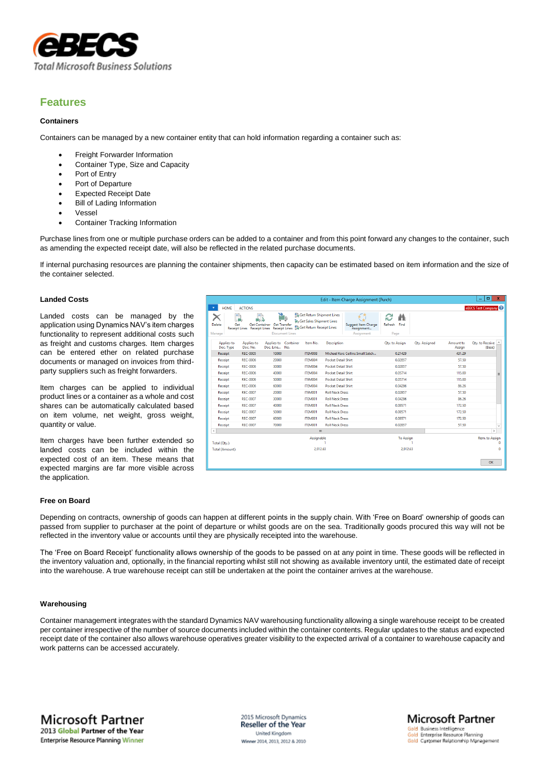

## **Features**

#### **Containers**

Containers can be managed by a new container entity that can hold information regarding a container such as:

- Freight Forwarder Information
- Container Type, Size and Capacity
- Port of Entry
- Port of Departure
- Expected Receipt Date
- Bill of Lading Information
- Vessel
- Container Tracking Information

Purchase lines from one or multiple purchase orders can be added to a container and from this point forward any changes to the container, such as amending the expected receipt date, will also be reflected in the related purchase documents.

If internal purchasing resources are planning the container shipments, then capacity can be estimated based on item information and the size of the container selected.

### **Landed Costs**

Landed costs can be managed by the application using Dynamics NAV's item charges functionality to represent additional costs such as freight and customs charges. Item charges can be entered ether on related purchase documents or managed on invoices from thirdparty suppliers such as freight forwarders.

Item charges can be applied to individual product lines or a container as a whole and cost shares can be automatically calculated based on item volume, net weight, gross weight, quantity or value.

Item charges have been further extended so landed costs can be included within the expected cost of an item. These means that expected margins are far more visible across the application.

|                          |                                    | Edit - Item Charge Assignment (Purch)                                            |                                                                                                              | $\blacksquare$<br>$\mathbf x$<br>-              |                                        |                     |                                       |
|--------------------------|------------------------------------|----------------------------------------------------------------------------------|--------------------------------------------------------------------------------------------------------------|-------------------------------------------------|----------------------------------------|---------------------|---------------------------------------|
| <b>HOME</b>              | <b>ACTIONS</b>                     |                                                                                  |                                                                                                              |                                                 |                                        |                     | eBECS Test Company <sup>2</sup>       |
| Delete<br>Get<br>Manage  | <b>Receipt Lines</b> Receipt Lines | p<br>Get Container Get Transfer<br><b>Receipt Lines</b><br><b>Document Lines</b> | Get Return Shipment Lines<br>ill <sub>9</sub> Get Sales Shipment Lines<br><b>En Get Return Receipt Lines</b> | Suggest Item Charge<br>Assignment<br>Assignment | Find<br>Refresh<br>Page                |                     |                                       |
| Applies-to<br>Doc. Type  | Applies-to<br>Doc. No.             | Container<br>Applies-to<br>Doc. Line No.                                         | Item No.                                                                                                     | <b>Description</b>                              | <b>Qty. Assigned</b><br>Qty. to Assign | Amount to<br>Assign | Qty. to Receive<br>$\wedge$<br>(Base) |
| Receipt                  | <b>REC-0005</b>                    | 10000                                                                            | ITEM008                                                                                                      | Michael Kors Collins Small Satch                | 0.21429                                | 431.29              |                                       |
| Receipt                  | <b>REC-0006</b>                    | 20000                                                                            | ITFM004                                                                                                      | <b>Pocket Detail Shirt</b>                      | 0.02857                                | 57.50               |                                       |
| Receipt                  | <b>REC-0006</b>                    | 30000                                                                            | ITEM004                                                                                                      | <b>Pocket Detail Shirt</b>                      | 0.02857                                | 57.50               |                                       |
| Receipt                  | <b>REC-0006</b>                    | 40000                                                                            | ITEM004                                                                                                      | <b>Pocket Detail Shirt</b>                      | 0.05714                                | 115.00              | $\equiv$                              |
| Receipt                  | <b>REC-0006</b>                    | 50000                                                                            | ITFM004                                                                                                      | <b>Pocket Detail Shirt</b>                      | 0.05714                                | 115.00              |                                       |
| Receipt                  | <b>REC-0006</b>                    | 60000                                                                            | ITEM004                                                                                                      | <b>Pocket Detail Shirt</b>                      | 0.04286                                | 86.26               |                                       |
| Receipt                  | <b>REC-0007</b>                    | 20000                                                                            | ITEM001                                                                                                      | <b>Roll Neck Dress</b>                          | 0.02857                                | 57.50               |                                       |
| Receipt                  | <b>REC-0007</b>                    | 30000                                                                            | ITEM001                                                                                                      | <b>Roll Neck Dress</b>                          | 0.04286                                | 86.26               |                                       |
| Receipt                  | <b>REC-0007</b>                    | 40000                                                                            | ITEM001                                                                                                      | <b>Roll Neck Dress</b>                          | 0.08571                                | 172.50              |                                       |
| Receipt                  | REC-0007                           | 50000                                                                            | ITEM001                                                                                                      | <b>Roll Neck Dress</b>                          | 0.08571                                | 172.50              |                                       |
| Receipt                  | <b>REC-0007</b>                    | 60000                                                                            | ITEM001                                                                                                      | <b>Roll Neck Dress</b>                          | 0.08571                                | 172.50              |                                       |
| Receipt                  | <b>REC-0007</b>                    | 70000                                                                            | ITEM001                                                                                                      | <b>Roll Neck Dress</b>                          | 0.02857                                | 57.50               | $\checkmark$                          |
| $\overline{\phantom{a}}$ |                                    |                                                                                  | Ш                                                                                                            |                                                 |                                        |                     | $\,$                                  |
| Total (Qty.):            |                                    |                                                                                  | Assignable                                                                                                   |                                                 | <b>To Assign</b>                       |                     | Rem. to Assign<br>Ω                   |
| Total (Amount):          |                                    |                                                                                  | 2,012.63                                                                                                     |                                                 | 2,012.63                               |                     | ٥                                     |
|                          |                                    |                                                                                  |                                                                                                              |                                                 |                                        |                     | OK                                    |

**Microsoft Partner** 

Gold Customer Relationship Management

Gold Business Intelligence<br>Gold Enterprise Resource Planning

#### **Free on Board**

Depending on contracts, ownership of goods can happen at different points in the supply chain. With 'Free on Board' ownership of goods can passed from supplier to purchaser at the point of departure or whilst goods are on the sea. Traditionally goods procured this way will not be reflected in the inventory value or accounts until they are physically receipted into the warehouse.

The 'Free on Board Receipt' functionality allows ownership of the goods to be passed on at any point in time. These goods will be reflected in the inventory valuation and, optionally, in the financial reporting whilst still not showing as available inventory until, the estimated date of receipt into the warehouse. A true warehouse receipt can still be undertaken at the point the container arrives at the warehouse.

### **Warehousing**

Container management integrates with the standard Dynamics NAV warehousing functionality allowing a single warehouse receipt to be created per container irrespective of the number of source documents included within the container contents. Regular updates to the status and expected receipt date of the container also allows warehouse operatives greater visibility to the expected arrival of a container to warehouse capacity and work patterns can be accessed accurately.

2015 Microsoft Dynamics **Reseller of the Year** United Kingdom Winner 2014, 2013, 2012 & 2010